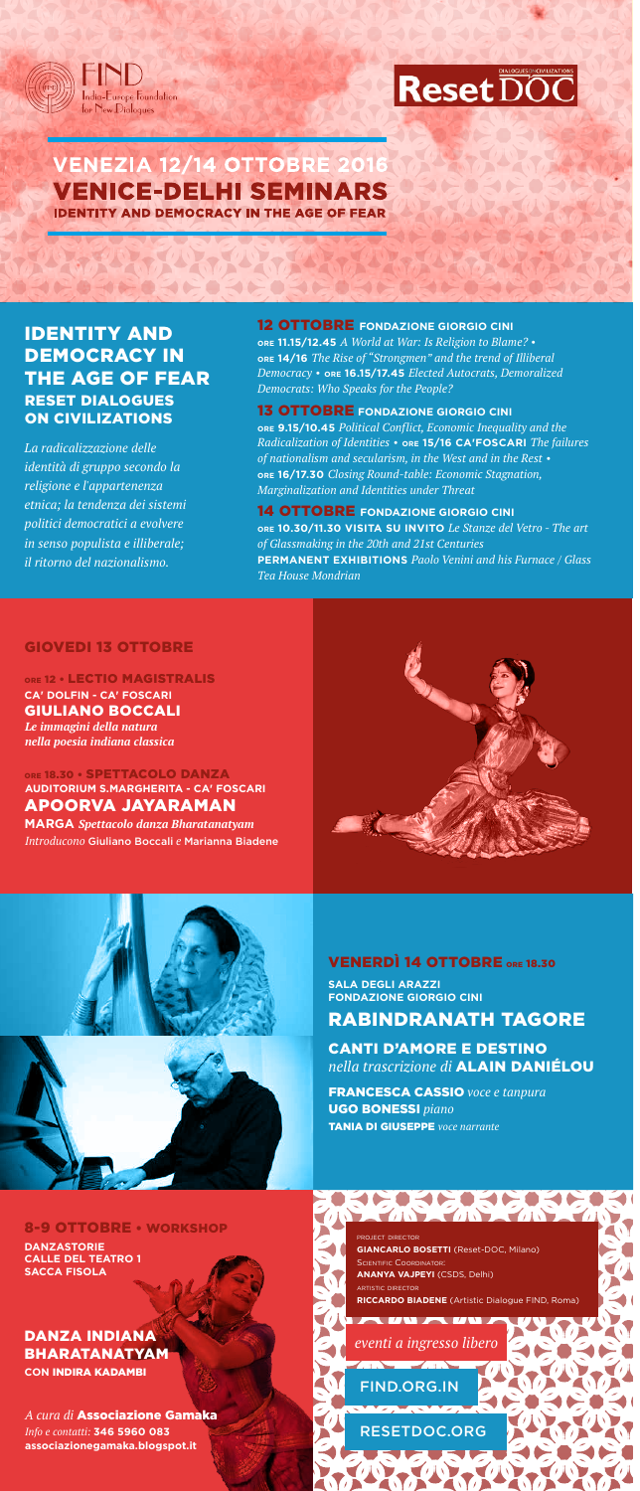



# **VENEZIA 12/14 OTTOBRE 2016 VENICE-DELHI SEMINARS IDENTITY AND DEMOCRACY IN THE AGE OF F**

A STANDATANDAT

PACK CRACK

CALLES AND CHAPTER

FIND.ORG.IN

RESETDOC.ORG

#### CANTI D'AMORE E DESTINO *nella trascrizione di* ALAIN DANIÉLOU

### VENERDÌ 14 OTTOBRE ORE 18.30

FRANCESCA CASSIO *voce e tanpura* UGO BONESSI *piano*

TANIA DI GIUSEPPE *voce narrante*

**SALA DEGLI ARAZZI FONDAZIONE GIORGIO CINI**

## RABINDRANATH TAGORE

*La radicalizzazione delle identità di gruppo secondo la religione e l'appartenenza etnica; la tendenza dei sistemi politici democratici a evolvere in senso populista e illiberale; il ritorno del nazionalismo .*

### DANZA INDIANA BHARATANATYAM **CON** INDIRA KADAMBI

*A cura di* Associazione Gamaka *Info e contatti:* **346 5960 083 associazionegamaka.blogspot.it**

PROJECT DIRECTOR **GIANCARLO BOSETTI** (Reset-DOC, Milano) SCIENTIFIC COORDINATOR: **ANANYA VAJPEYI** (CSDS, Delhi) ARTISTIC DIRECTOR **RICCARDO BIADENE** (Artistic Dialogue FIND, Roma)

**ENSIERS ERSER** 

#### 8-9 OTTOBRE • WORKSHOP

## IDENTITY AND DEMOCRACY IN THE AGE OF FEAR RESET DIALOGUES ON CIVILIZATIONS

**DANZASTORIE CALLE DEL TEATRO 1 SACCA FISOLA** 

**CA' DOLFIN - CA' FOSCARI** GIULIANO BOCCALI *Le immagini della natura nella poesia indiana classica* ORE 12 . LECTIO MAGISTRALIS

*eventi a ingresso libero*

AUTAWA

 $\sqrt{11.25}$ 

#### 12 OTTOBRE **FONDAZIONE GIORGIO CINI**

ORE 18.30 · SPETTACOLO DANZA APOORVA JAYARAMAN **MARGA** *Spettacolo danza Bharatanatyam Introducono* Giuliano Boccali *e* Marianna Biadene **AUDITORIUM S.MARGHERITA - CA' FOSCARI**





**ORE 11.15/12.45** *A World at War: Is Religion to Blame?* **• ORE 14/16** *The Rise of "Strongmen" and the trend of Illiberal Democracy* **• ORE 16.15/17.45** *Elected Autocrats, Demoralized Democrats: Who Speaks for the People?* 

#### 13 OTTOBRE **FONDAZIONE GIORGIO CINI**

**ORE 9.15/10.45** *Political Conflict, Economic Inequality and the Radicalization of Identities* **• ORE 15/16 CA'FOSCARI** *The failures of nationalism and secularism, in the West and in the Rest* **• ORE 16/17.30** *Closing Round-table: Economic Stagnation, Marginalization and Identities under Threat*

14 OTTOBRE **FONDAZIONE GIORGIO CINI ORE 10.30/11.30 VISITA SU INVITO** *Le Stanze del Vetro - The art of Glassmaking in the 20th and 21st Centuries* **PERMANENT EXHIBITIONS** *Paolo Venini and his Furnace / Glass Tea House Mondrian*

### GIOVEDI 13 OTTOBRE